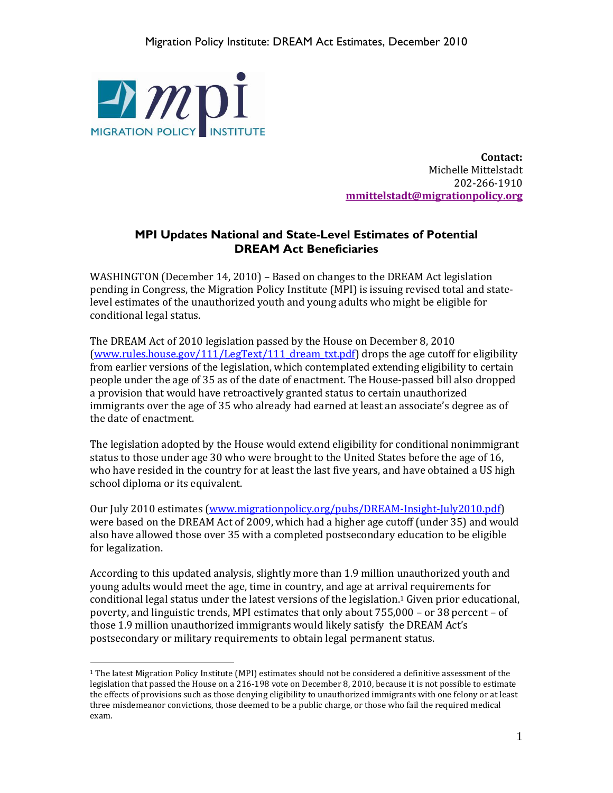

 $\overline{a}$ 

**Contact:** Michelle Mittelstadt 202-266-1910 **[mmittelstadt@migrationpolicy.org](mailto:mmittelstadt@migrationpolicy.org)**

## **MPI Updates National and State-Level Estimates of Potential DREAM Act Beneficiaries**

WASHINGTON (December 14, 2010) – Based on changes to the DREAM Act legislation pending in Congress, the Migration Policy Institute (MPI) is issuing revised total and statelevel estimates of the unauthorized youth and young adults who might be eligible for conditional legal status.

The DREAM Act of 2010 legislation passed by the House on December 8, 2010 (www.rules.house.gov/111/LegText/111 dream\_txt.pdf) drops the age cutoff for eligibility from earlier versions of the legislation, which contemplated extending eligibility to certain people under the age of 35 as of the date of enactment. The House-passed bill also dropped a provision that would have retroactively granted status to certain unauthorized immigrants over the age of 35 who already had earned at least an associate's degree as of the date of enactment.

The legislation adopted by the House would extend eligibility for conditional nonimmigrant status to those under age 30 who were brought to the United States before the age of 16, who have resided in the country for at least the last five years, and have obtained a US high school diploma or its equivalent.

Our July 2010 estimates [\(www.migrationpolicy.org/pubs/DREAM-Insight-July2010.pdf\)](http://www.migrationpolicy.org/pubs/DREAM-Insight-July2010.pdf) were based on the DREAM Act of 2009, which had a higher age cutoff (under 35) and would also have allowed those over 35 with a completed postsecondary education to be eligible for legalization.

According to this updated analysis, slightly more than 1.9 million unauthorized youth and young adults would meet the age, time in country, and age at arrival requirements for conditional legal status under the latest versions of the legislation. <sup>1</sup> Given prior educational, poverty, and linguistic trends, MPI estimates that only about 755,000 – or 38 percent – of those 1.9 million unauthorized immigrants would likely satisfy the DREAM Act's postsecondary or military requirements to obtain legal permanent status.

 $1$  The latest Migration Policy Institute (MPI) estimates should not be considered a definitive assessment of the legislation that passed the House on a 216-198 vote on December 8, 2010, because it is not possible to estimate the effects of provisions such as those denying eligibility to unauthorized immigrants with one felony or at least three misdemeanor convictions, those deemed to be a public charge, or those who fail the required medical exam.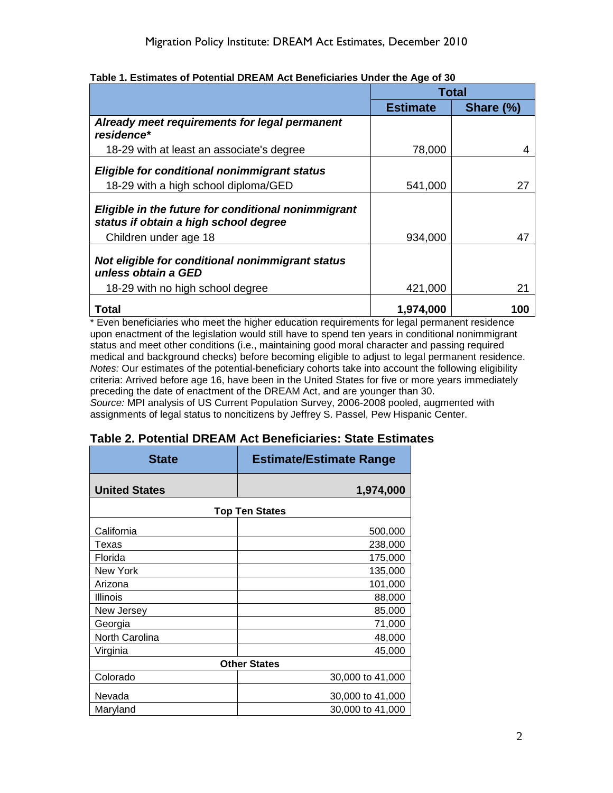|                                                                                              | <b>Total</b>    |           |
|----------------------------------------------------------------------------------------------|-----------------|-----------|
|                                                                                              | <b>Estimate</b> | Share (%) |
| Already meet requirements for legal permanent<br>residence*                                  |                 |           |
| 18-29 with at least an associate's degree                                                    | 78,000          |           |
| Eligible for conditional nonimmigrant status                                                 |                 |           |
| 18-29 with a high school diploma/GED                                                         | 541,000         | 27        |
| Eligible in the future for conditional nonimmigrant<br>status if obtain a high school degree |                 |           |
| Children under age 18                                                                        | 934,000         | 47        |
| Not eligible for conditional nonimmigrant status<br>unless obtain a GED                      |                 |           |
| 18-29 with no high school degree                                                             | 421,000         | 21        |
| <b>Total</b>                                                                                 | 1,974,000       | 100       |

## **Table 1. Estimates of Potential DREAM Act Beneficiaries Under the Age of 30**

\* Even beneficiaries who meet the higher education requirements for legal permanent residence upon enactment of the legislation would still have to spend ten years in conditional nonimmigrant status and meet other conditions (i.e., maintaining good moral character and passing required medical and background checks) before becoming eligible to adjust to legal permanent residence. *Notes:* Our estimates of the potential-beneficiary cohorts take into account the following eligibility criteria: Arrived before age 16, have been in the United States for five or more years immediately preceding the date of enactment of the DREAM Act, and are younger than 30.

*Source:* MPI analysis of US Current Population Survey, 2006-2008 pooled, augmented with assignments of legal status to noncitizens by Jeffrey S. Passel, Pew Hispanic Center.

| <b>State</b>          | <b>Estimate/Estimate Range</b> |  |  |
|-----------------------|--------------------------------|--|--|
| <b>United States</b>  | 1,974,000                      |  |  |
| <b>Top Ten States</b> |                                |  |  |
| California            | 500,000                        |  |  |
| Texas                 | 238,000                        |  |  |
| Florida               | 175,000                        |  |  |
| New York              | 135,000                        |  |  |
| Arizona               | 101,000                        |  |  |
| Illinois              | 88,000                         |  |  |
| New Jersey            | 85,000                         |  |  |
| Georgia               | 71,000                         |  |  |
| North Carolina        | 48,000                         |  |  |
| Virginia              | 45,000                         |  |  |
| <b>Other States</b>   |                                |  |  |
| Colorado              | 30,000 to 41,000               |  |  |
| Nevada                | 30,000 to 41,000               |  |  |
| Maryland              | 30,000 to 41,000               |  |  |

## **Table 2. Potential DREAM Act Beneficiaries: State Estimates**